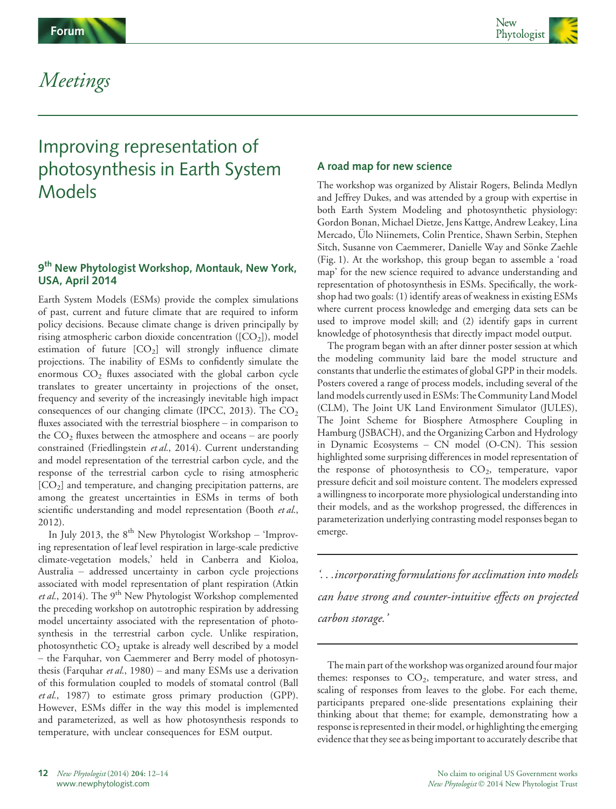

# Meetings

# Improving representation of photosynthesis in Earth System Models

# 9<sup>th</sup> New Phytologist Workshop, Montauk, New York, USA, April 2014

Earth System Models (ESMs) provide the complex simulations of past, current and future climate that are required to inform policy decisions. Because climate change is driven principally by rising atmospheric carbon dioxide concentration  $([CO<sub>2</sub>])$ , model estimation of future  $[CO<sub>2</sub>]$  will strongly influence climate projections. The inability of ESMs to confidently simulate the enormous  $CO<sub>2</sub>$  fluxes associated with the global carbon cycle translates to greater uncertainty in projections of the onset, frequency and severity of the increasingly inevitable high impact consequences of our changing climate (IPCC, 2013). The  $CO<sub>2</sub>$ fluxes associated with the terrestrial biosphere – in comparison to the  $CO<sub>2</sub>$  fluxes between the atmosphere and oceans – are poorly constrained (Friedlingstein et al., 2014). Current understanding and model representation of the terrestrial carbon cycle, and the response of the terrestrial carbon cycle to rising atmospheric [CO<sub>2</sub>] and temperature, and changing precipitation patterns, are among the greatest uncertainties in ESMs in terms of both scientific understanding and model representation (Booth et al., 2012).

In July 2013, the  $8<sup>th</sup>$  New Phytologist Workshop – 'Improving representation of leaf level respiration in large-scale predictive climate-vegetation models,' held in Canberra and Kioloa, Australia – addressed uncertainty in carbon cycle projections associated with model representation of plant respiration (Atkin *et al.*, 2014). The 9<sup>th</sup> New Phytologist Workshop complemented the preceding workshop on autotrophic respiration by addressing model uncertainty associated with the representation of photosynthesis in the terrestrial carbon cycle. Unlike respiration, photosynthetic  $CO<sub>2</sub>$  uptake is already well described by a model – the Farquhar, von Caemmerer and Berry model of photosynthesis (Farquhar *et al.*, 1980) – and many ESMs use a derivation of this formulation coupled to models of stomatal control (Ball et al., 1987) to estimate gross primary production (GPP). However, ESMs differ in the way this model is implemented and parameterized, as well as how photosynthesis responds to temperature, with unclear consequences for ESM output.

# A road map for new science

The workshop was organized by Alistair Rogers, Belinda Medlyn and Jeffrey Dukes, and was attended by a group with expertise in both Earth System Modeling and photosynthetic physiology: Gordon Bonan, Michael Dietze, Jens Kattge, Andrew Leakey, Lina Mercado, Ülo Niinemets, Colin Prentice, Shawn Serbin, Stephen Sitch, Susanne von Caemmerer, Danielle Way and Sönke Zaehle (Fig. 1). At the workshop, this group began to assemble a 'road map' for the new science required to advance understanding and representation of photosynthesis in ESMs. Specifically, the workshop had two goals: (1) identify areas of weakness in existing ESMs where current process knowledge and emerging data sets can be used to improve model skill; and (2) identify gaps in current knowledge of photosynthesis that directly impact model output.

The program began with an after dinner poster session at which the modeling community laid bare the model structure and constants that underlie the estimates of global GPP in their models. Posters covered a range of process models, including several of the land models currently used in ESMs: The Community Land Model (CLM), The Joint UK Land Environment Simulator (JULES), The Joint Scheme for Biosphere Atmosphere Coupling in Hamburg (JSBACH), and the Organizing Carbon and Hydrology in Dynamic Ecosystems – CN model (O-CN). This session highlighted some surprising differences in model representation of the response of photosynthesis to  $CO<sub>2</sub>$ , temperature, vapor pressure deficit and soil moisture content. The modelers expressed a willingness to incorporate more physiological understanding into their models, and as the workshop progressed, the differences in parameterization underlying contrasting model responses began to emerge.

'...incorporating formulations for acclimation into models can have strong and counter-intuitive effects on projected carbon storage.'

The main part of the workshop was organized around four major themes: responses to  $CO<sub>2</sub>$ , temperature, and water stress, and scaling of responses from leaves to the globe. For each theme, participants prepared one-slide presentations explaining their thinking about that theme; for example, demonstrating how a response is represented in their model, or highlighting the emerging evidence that they see as being important to accurately describe that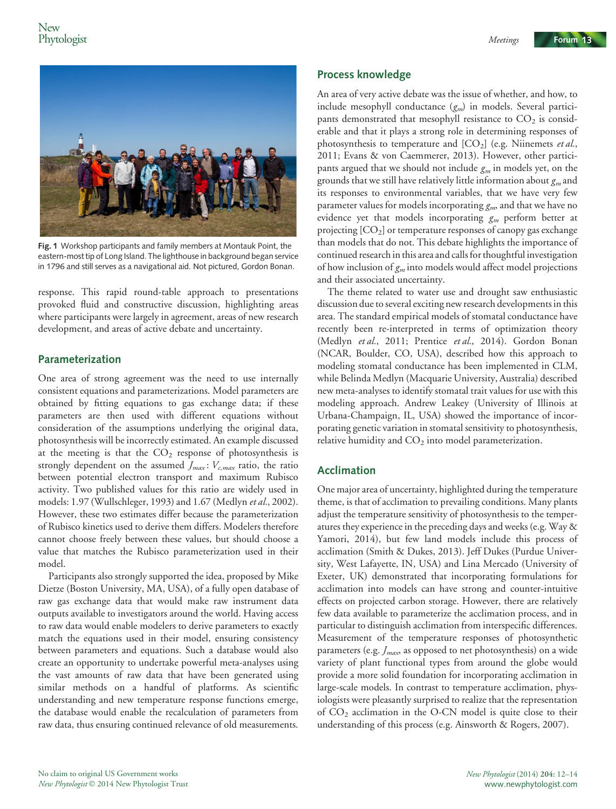



Fig. 1 Workshop participants and family members at Montauk Point, the eastern-most tip of Long Island. The lighthouse in background began service in 1796 and still serves as a navigational aid. Not pictured, Gordon Bonan.

response. This rapid round-table approach to presentations provoked fluid and constructive discussion, highlighting areas where participants were largely in agreement, areas of new research development, and areas of active debate and uncertainty.

### Parameterization

One area of strong agreement was the need to use internally consistent equations and parameterizations. Model parameters are obtained by fitting equations to gas exchange data; if these parameters are then used with different equations without consideration of the assumptions underlying the original data, photosynthesis will be incorrectly estimated. An example discussed at the meeting is that the  $CO<sub>2</sub>$  response of photosynthesis is strongly dependent on the assumed  $J_{max}$ :  $V_{c,max}$  ratio, the ratio between potential electron transport and maximum Rubisco activity. Two published values for this ratio are widely used in models: 1.97 (Wullschleger, 1993) and 1.67 (Medlyn et al., 2002). However, these two estimates differ because the parameterization of Rubisco kinetics used to derive them differs. Modelers therefore cannot choose freely between these values, but should choose a value that matches the Rubisco parameterization used in their model.

Participants also strongly supported the idea, proposed by Mike Dietze (Boston University, MA, USA), of a fully open database of raw gas exchange data that would make raw instrument data outputs available to investigators around the world. Having access to raw data would enable modelers to derive parameters to exactly match the equations used in their model, ensuring consistency between parameters and equations. Such a database would also create an opportunity to undertake powerful meta-analyses using the vast amounts of raw data that have been generated using similar methods on a handful of platforms. As scientific understanding and new temperature response functions emerge, the database would enable the recalculation of parameters from raw data, thus ensuring continued relevance of old measurements.

#### Process knowledge

An area of very active debate was the issue of whether, and how, to include mesophyll conductance  $(g_m)$  in models. Several participants demonstrated that mesophyll resistance to  $CO<sub>2</sub>$  is considerable and that it plays a strong role in determining responses of photosynthesis to temperature and  $[CO_2]$  (e.g. Niinemets et al., 2011; Evans & von Caemmerer, 2013). However, other participants argued that we should not include  $g_m$  in models yet, on the grounds that we still have relatively little information about  $g_m$  and its responses to environmental variables, that we have very few parameter values for models incorporating  $g_{m}$ , and that we have no evidence yet that models incorporating  $g_m$  perform better at projecting  $[CO<sub>2</sub>]$  or temperature responses of canopy gas exchange than models that do not. This debate highlights the importance of continued research in this area and calls for thoughtful investigation of how inclusion of  $g_m$  into models would affect model projections and their associated uncertainty.

The theme related to water use and drought saw enthusiastic discussion due to several exciting new research developments in this area. The standard empirical models of stomatal conductance have recently been re-interpreted in terms of optimization theory (Medlyn et al., 2011; Prentice et al., 2014). Gordon Bonan (NCAR, Boulder, CO, USA), described how this approach to modeling stomatal conductance has been implemented in CLM, while Belinda Medlyn (Macquarie University, Australia) described new meta-analyses to identify stomatal trait values for use with this modeling approach. Andrew Leakey (University of Illinois at Urbana-Champaign, IL, USA) showed the importance of incorporating genetic variation in stomatal sensitivity to photosynthesis, relative humidity and  $CO<sub>2</sub>$  into model parameterization.

## Acclimation

One major area of uncertainty, highlighted during the temperature theme, is that of acclimation to prevailing conditions. Many plants adjust the temperature sensitivity of photosynthesis to the temperatures they experience in the preceding days and weeks (e.g. Way & Yamori, 2014), but few land models include this process of acclimation (Smith & Dukes, 2013). Jeff Dukes (Purdue University, West Lafayette, IN, USA) and Lina Mercado (University of Exeter, UK) demonstrated that incorporating formulations for acclimation into models can have strong and counter-intuitive effects on projected carbon storage. However, there are relatively few data available to parameterize the acclimation process, and in particular to distinguish acclimation from interspecific differences. Measurement of the temperature responses of photosynthetic parameters (e.g.  $J_{max}$  as opposed to net photosynthesis) on a wide variety of plant functional types from around the globe would provide a more solid foundation for incorporating acclimation in large-scale models. In contrast to temperature acclimation, physiologists were pleasantly surprised to realize that the representation of CO2 acclimation in the O-CN model is quite close to their understanding of this process (e.g. Ainsworth & Rogers, 2007).